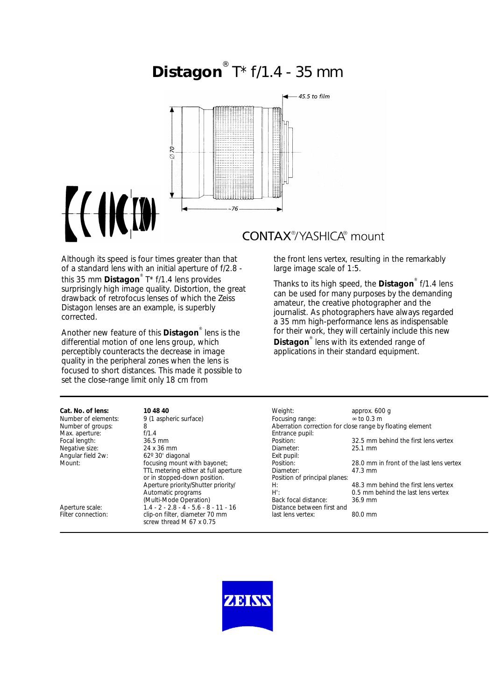# **Distagon** ® T\* f/1.4 - 35 mm



## **CONTAX®YASHICA®** mount

Although its speed is four times greater than that of a standard lens with an initial aperture of f/2.8 this 35 mm **Distagon**® T\* f/1.4 lens provides surprisingly high image quality. Distortion, the great drawback of retrofocus lenses of which the Zeiss Distagon lenses are an example, is superbly corrected.

 $f(f)$ 

Another new feature of this **Distagon**® lens is the differential motion of one lens group, which perceptibly counteracts the decrease in image quality in the peripheral zones when the lens is focused to short distances. This made it possible to set the close-range limit only 18 cm from

the front lens vertex, resulting in the remarkably large image scale of 1:5.

Thanks to its high speed, the **Distagon**® f/1.4 lens can be used for many purposes by the demanding amateur, the creative photographer and the journalist. As photographers have always regarded a 35 mm high-performance lens as indispensable for their work, they will certainly include this new **Distagon**® lens with its extended range of applications in their standard equipment.

| Cat. No. of lens:   | 10 48 40                                | Weight:                                                   | approx. 600 q                            |
|---------------------|-----------------------------------------|-----------------------------------------------------------|------------------------------------------|
| Number of elements: | 9 (1 aspheric surface)                  | Focusing range:                                           | $\approx$ to 0.3 m                       |
| Number of groups:   | 8                                       | Aberration correction for close range by floating element |                                          |
| Max. aperture:      | f/1.4                                   | Entrance pupil:                                           |                                          |
| Focal length:       | 36.5 mm                                 | Position:                                                 | 32.5 mm behind the first lens vertex     |
| Negative size:      | 24 x 36 mm                              | Diameter:                                                 | $25.1$ mm                                |
| Angular field 2w:   | 62° 30' diagonal                        | Exit pupil:                                               |                                          |
| Mount:              | focusing mount with bayonet;            | Position:                                                 | 28.0 mm in front of the last lens vertex |
|                     | TTL metering either at full aperture    | Diameter:                                                 | $47.3 \text{ mm}$                        |
|                     | or in stopped-down position.            | Position of principal planes:                             |                                          |
|                     | Aperture priority/Shutter priority/     | H:                                                        | 48.3 mm behind the first lens vertex     |
|                     | Automatic programs                      | $H^{\prime}$ :                                            | 0.5 mm behind the last lens vertex       |
|                     | (Multi-Mode Operation)                  | Back focal distance:                                      | 36.9 mm                                  |
| Aperture scale:     | $1.4 - 2 - 2.8 - 4 - 5.6 - 8 - 11 - 16$ | Distance between first and                                |                                          |
| Filter connection:  | clip-on filter, diameter 70 mm          | last lens vertex:                                         | $80.0$ mm                                |
|                     | screw thread M 67 x 0.75                |                                                           |                                          |